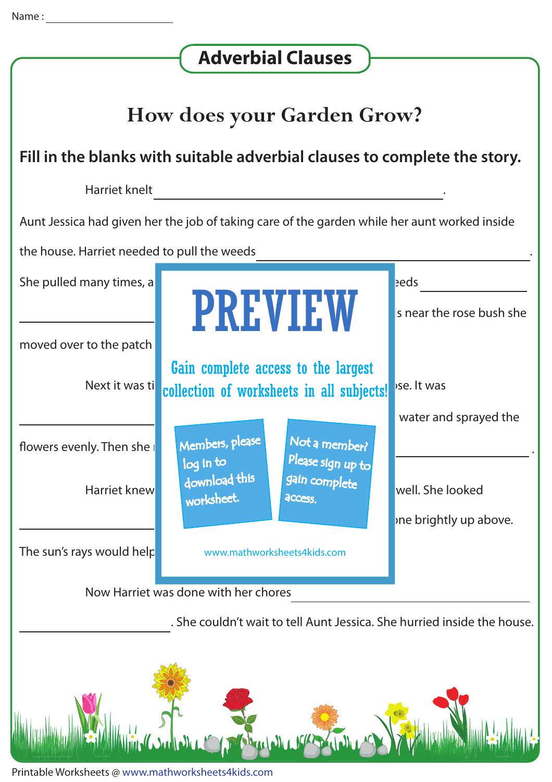| <b>Adverbial Clauses</b>                                                                     |                                                                                  |                                            |  |  |
|----------------------------------------------------------------------------------------------|----------------------------------------------------------------------------------|--------------------------------------------|--|--|
| <b>How does your Garden Grow?</b>                                                            |                                                                                  |                                            |  |  |
| Fill in the blanks with suitable adverbial clauses to complete the story.                    |                                                                                  |                                            |  |  |
| Harriet knelt                                                                                |                                                                                  |                                            |  |  |
| Aunt Jessica had given her the job of taking care of the garden while her aunt worked inside |                                                                                  |                                            |  |  |
| the house. Harriet needed to pull the weeds                                                  |                                                                                  |                                            |  |  |
| She pulled many times, a                                                                     | <b>PREVIEW</b>                                                                   | eds<br>Is near the rose bush she           |  |  |
| moved over to the patch                                                                      |                                                                                  |                                            |  |  |
| Next it was ti                                                                               | Gain complete access to the largest<br>collection of worksheets in all subjects! | ise. It was                                |  |  |
| flowers evenly. Then she                                                                     | Members, please<br>Not a member?<br>Please sign up to<br>log in to               | water and sprayed the                      |  |  |
| <b>Harriet knew</b>                                                                          | download this<br>gain complete<br>worksheet.<br>access.                          | well. She looked<br>ine brightly up above. |  |  |
| The sun's rays would help                                                                    | www.mathworksheets4kids.com                                                      |                                            |  |  |
| Now Harriet was done with her chores                                                         |                                                                                  |                                            |  |  |
| . She couldn't wait to tell Aunt Jessica. She hurried inside the house.                      |                                                                                  |                                            |  |  |
|                                                                                              |                                                                                  |                                            |  |  |

Printable Worksheets @ www.mathworksheets4kids.com